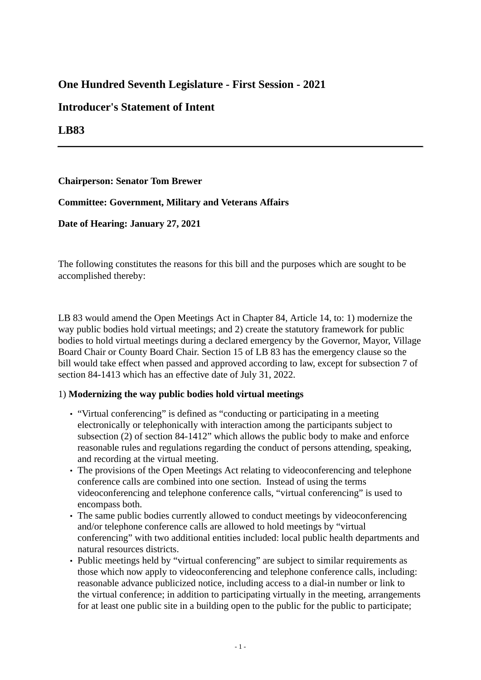# **One Hundred Seventh Legislature - First Session - 2021**

## **Introducer's Statement of Intent**

## **LB83**

#### **Chairperson: Senator Tom Brewer**

#### **Committee: Government, Military and Veterans Affairs**

**Date of Hearing: January 27, 2021**

The following constitutes the reasons for this bill and the purposes which are sought to be accomplished thereby:

LB 83 would amend the Open Meetings Act in Chapter 84, Article 14, to: 1) modernize the way public bodies hold virtual meetings; and 2) create the statutory framework for public bodies to hold virtual meetings during a declared emergency by the Governor, Mayor, Village Board Chair or County Board Chair. Section 15 of LB 83 has the emergency clause so the bill would take effect when passed and approved according to law, except for subsection 7 of section 84-1413 which has an effective date of July 31, 2022.

### 1) **Modernizing the way public bodies hold virtual meetings**

- "Virtual conferencing" is defined as "conducting or participating in a meeting electronically or telephonically with interaction among the participants subject to subsection (2) of section 84-1412" which allows the public body to make and enforce reasonable rules and regulations regarding the conduct of persons attending, speaking, and recording at the virtual meeting.
- The provisions of the Open Meetings Act relating to videoconferencing and telephone conference calls are combined into one section. Instead of using the terms videoconferencing and telephone conference calls, "virtual conferencing" is used to encompass both.
- The same public bodies currently allowed to conduct meetings by videoconferencing and/or telephone conference calls are allowed to hold meetings by "virtual conferencing" with two additional entities included: local public health departments and natural resources districts.
- Public meetings held by "virtual conferencing" are subject to similar requirements as those which now apply to videoconferencing and telephone conference calls, including: reasonable advance publicized notice, including access to a dial-in number or link to the virtual conference; in addition to participating virtually in the meeting, arrangements for at least one public site in a building open to the public for the public to participate;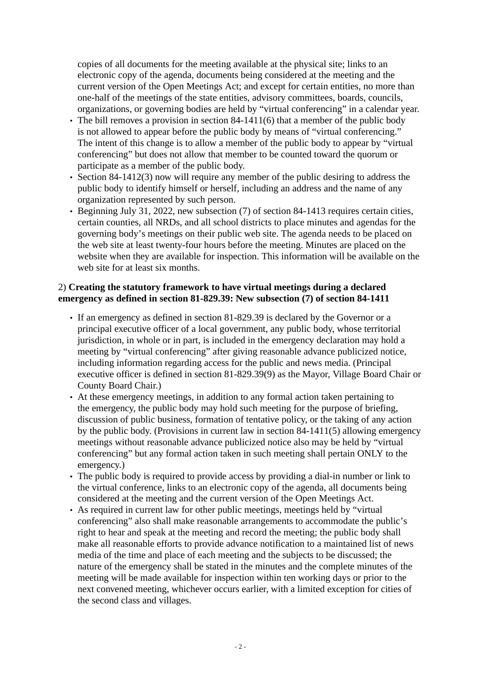copies of all documents for the meeting available at the physical site; links to an electronic copy of the agenda, documents being considered at the meeting and the current version of the Open Meetings Act; and except for certain entities, no more than one-half of the meetings of the state entities, advisory committees, boards, councils, organizations, or governing bodies are held by "virtual conferencing" in a calendar year.

- The bill removes a provision in section 84-1411(6) that a member of the public body is not allowed to appear before the public body by means of "virtual conferencing." The intent of this change is to allow a member of the public body to appear by "virtual conferencing" but does not allow that member to be counted toward the quorum or participate as a member of the public body.
- Section 84-1412(3) now will require any member of the public desiring to address the public body to identify himself or herself, including an address and the name of any organization represented by such person.
- Beginning July 31, 2022, new subsection (7) of section 84-1413 requires certain cities, certain counties, all NRDs, and all school districts to place minutes and agendas for the governing body's meetings on their public web site. The agenda needs to be placed on the web site at least twenty-four hours before the meeting. Minutes are placed on the website when they are available for inspection. This information will be available on the web site for at least six months.

#### 2) **Creating the statutory framework to have virtual meetings during a declared emergency as defined in section 81-829.39: New subsection (7) of section 84-1411**

- If an emergency as defined in section 81-829.39 is declared by the Governor or a principal executive officer of a local government, any public body, whose territorial jurisdiction, in whole or in part, is included in the emergency declaration may hold a meeting by "virtual conferencing" after giving reasonable advance publicized notice, including information regarding access for the public and news media. (Principal executive officer is defined in section 81-829.39(9) as the Mayor, Village Board Chair or County Board Chair.)
- At these emergency meetings, in addition to any formal action taken pertaining to the emergency, the public body may hold such meeting for the purpose of briefing, discussion of public business, formation of tentative policy, or the taking of any action by the public body. (Provisions in current law in section 84-1411(5) allowing emergency meetings without reasonable advance publicized notice also may be held by "virtual conferencing" but any formal action taken in such meeting shall pertain ONLY to the emergency.)
- The public body is required to provide access by providing a dial-in number or link to the virtual conference, links to an electronic copy of the agenda, all documents being considered at the meeting and the current version of the Open Meetings Act.
- As required in current law for other public meetings, meetings held by "virtual conferencing" also shall make reasonable arrangements to accommodate the public's right to hear and speak at the meeting and record the meeting; the public body shall make all reasonable efforts to provide advance notification to a maintained list of news media of the time and place of each meeting and the subjects to be discussed; the nature of the emergency shall be stated in the minutes and the complete minutes of the meeting will be made available for inspection within ten working days or prior to the next convened meeting, whichever occurs earlier, with a limited exception for cities of the second class and villages.